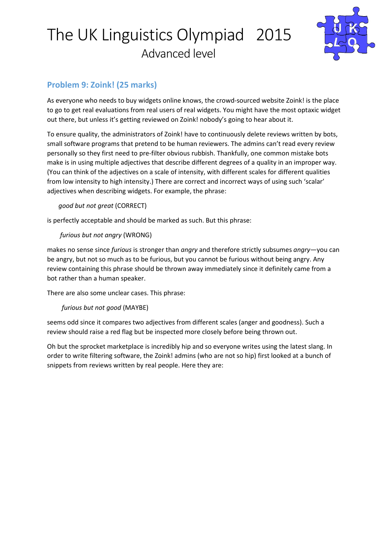

### Problem 9: Zoink! (25 marks)

As everyone who needs to buy widgets online knows, the crowd-sourced website Zoink! is the place to go to get real evaluations from real users of real widgets. You might have the most optaxic widget out there, but unless it's getting reviewed on Zoink! nobody's going to hear about it.

To ensure quality, the administrators of Zoink! have to continuously delete reviews written by bots, small software programs that pretend to be human reviewers. The admins can't read every review personally so they first need to pre-filter obvious rubbish. Thankfully, one common mistake bots make is in using multiple adjectives that describe different degrees of a quality in an improper way. (You can think of the adjectives on a scale of intensity, with different scales for different qualities from low intensity to high intensity.) There are correct and incorrect ways of using such 'scalar' adjectives when describing widgets. For example, the phrase:

good but not great (CORRECT)

is perfectly acceptable and should be marked as such. But this phrase:

#### furious but not angry (WRONG)

makes no sense since *furious* is stronger than *angry* and therefore strictly subsumes *angry*—you can be angry, but not so much as to be furious, but you cannot be furious without being angry. Any review containing this phrase should be thrown away immediately since it definitely came from a bot rather than a human speaker.

There are also some unclear cases. This phrase:

#### furious but not good (MAYBE)

seems odd since it compares two adjectives from different scales (anger and goodness). Such a review should raise a red flag but be inspected more closely before being thrown out.

Oh but the sprocket marketplace is incredibly hip and so everyone writes using the latest slang. In order to write filtering software, the Zoink! admins (who are not so hip) first looked at a bunch of snippets from reviews written by real people. Here they are: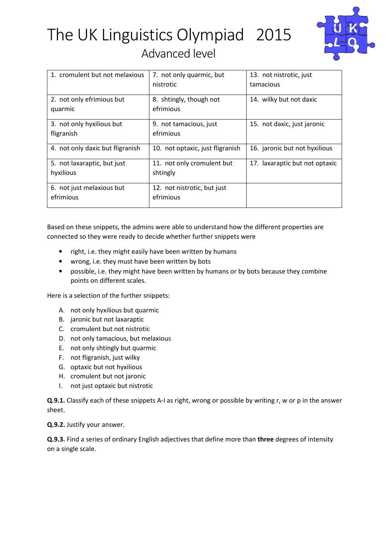

| 1. cromulent but not melaxious           | 7. not only quarmic, but<br>nistrotic    | 13. not nistrotic, just<br>tamacious |
|------------------------------------------|------------------------------------------|--------------------------------------|
| 2. not only efrimious but<br>quarmic     | 8. shtingly, though not<br>efrimious     | 14. wilky but not daxic              |
| 3. not only hyxilious but<br>fligranish  | 9. not tamacious, just<br>efrimious      | 15. not daxic, just jaronic          |
| 4. not only daxic but fligranish         | 10. not optaxic, just fligranish         | 16. jaronic but not hyxilious        |
| 5. not laxaraptic, but just<br>hyxilious | 11. not only cromulent but<br>shtingly   | 17. laxaraptic but not optaxic       |
| 6. not just melaxious but<br>efrimious   | 12. not nistrotic, but just<br>efrimious |                                      |

Based on these snippets, the admins were able to understand how the different properties are connected so they were ready to decide whether further snippets were

- right, i.e. they might easily have been written by humans
- wrong, i.e. they must have been written by bots
- possible, i.e. they might have been written by humans or by bots because they combine points on different scales.

Here is a selection of the further snippets:

- A. not only hyxilious but quarmic
- B. jaronic but not laxaraptic
- C. cromulent but not nistrotic
- D. not only tamacious, but melaxious
- E. not only shtingly but quarmic
- F. not fligranish, just wilky
- G. optaxic but not hyxilious
- H. cromulent but not jaronic
- I. not just optaxic but nistrotic

Q.9.1. Classify each of these snippets A-I as right, wrong or possible by writing r, w or p in the answer sheet.

Q.9.2. Justify your answer.

Q.9.3. Find a series of ordinary English adjectives that define more than three degrees of intensity on a single scale.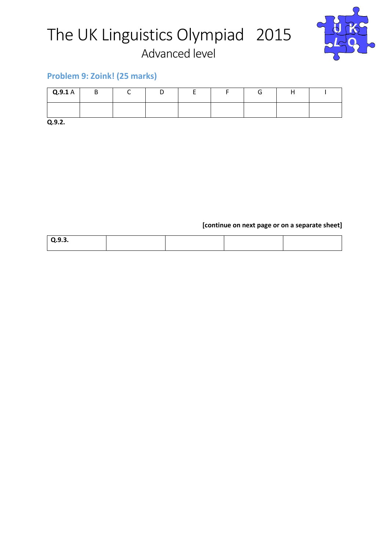

### Problem 9: Zoink! (25 marks)

| Q.9.1 A | ◡ |  |  |  |  |
|---------|---|--|--|--|--|
|         |   |  |  |  |  |

Q.9.2.

[continue on next page or on a separate sheet]

| $\Omega$<br>,.,. |
|------------------|
|------------------|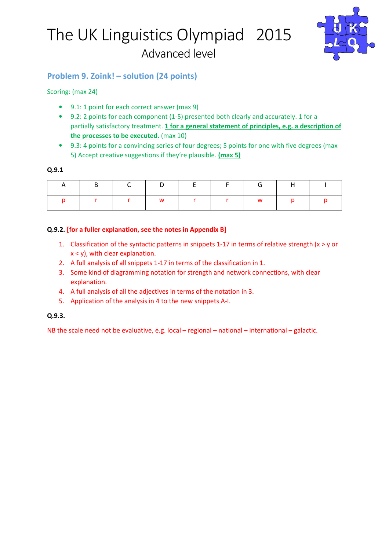

### Problem 9. Zoink! – solution (24 points)

Scoring: (max 24)

- 9.1: 1 point for each correct answer (max 9)
- 9.2: 2 points for each component (1-5) presented both clearly and accurately. 1 for a partially satisfactory treatment. 1 for a general statement of principles, e.g. a description of the processes to be executed. (max 10)
- 9.3: 4 points for a convincing series of four degrees; 5 points for one with five degrees (max 5) Accept creative suggestions if they're plausible. (max 5)

| В. |  |       |  |  |
|----|--|-------|--|--|
|    |  | w I r |  |  |

#### Q.9.2. [for a fuller explanation, see the notes in Appendix B]

- 1. Classification of the syntactic patterns in snippets 1-17 in terms of relative strength (x > y or  $x < y$ ), with clear explanation.
- 2. A full analysis of all snippets 1-17 in terms of the classification in 1.
- 3. Some kind of diagramming notation for strength and network connections, with clear explanation.
- 4. A full analysis of all the adjectives in terms of the notation in 3.
- 5. Application of the analysis in 4 to the new snippets A-I.

#### Q.9.3.

NB the scale need not be evaluative, e.g. local – regional – national – international – galactic.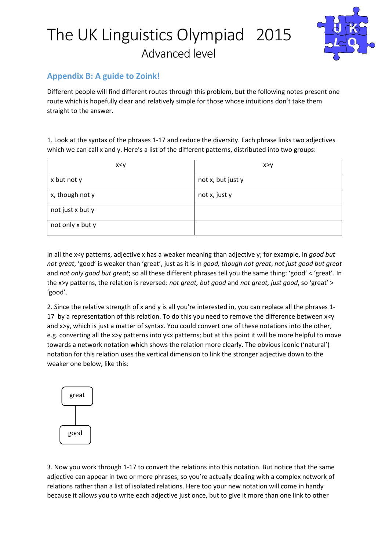

### Appendix B: A guide to Zoink!

Different people will find different routes through this problem, but the following notes present one route which is hopefully clear and relatively simple for those whose intuitions don't take them straight to the answer.

1. Look at the syntax of the phrases 1-17 and reduce the diversity. Each phrase links two adjectives which we can call x and y. Here's a list of the different patterns, distributed into two groups:

| x < y            | x>y               |
|------------------|-------------------|
| x but not y      | not x, but just y |
| x, though not y  | not x, just y     |
| not just x but y |                   |
| not only x but y |                   |

In all the x<y patterns, adjective x has a weaker meaning than adjective y; for example, in good but not great, 'good' is weaker than 'great', just as it is in good, though not great, not just good but great and not only good but great; so all these different phrases tell you the same thing: 'good' < 'great'. In the x>y patterns, the relation is reversed: not great, but good and not great, just good, so 'great' > 'good'.

2. Since the relative strength of x and y is all you're interested in, you can replace all the phrases 1- 17 by a representation of this relation. To do this you need to remove the difference between x<y and x>y, which is just a matter of syntax. You could convert one of these notations into the other, e.g. converting all the x>y patterns into y<x patterns; but at this point it will be more helpful to move towards a network notation which shows the relation more clearly. The obvious iconic ('natural') notation for this relation uses the vertical dimension to link the stronger adjective down to the weaker one below, like this:



3. Now you work through 1-17 to convert the relations into this notation. But notice that the same adjective can appear in two or more phrases, so you're actually dealing with a complex network of relations rather than a list of isolated relations. Here too your new notation will come in handy because it allows you to write each adjective just once, but to give it more than one link to other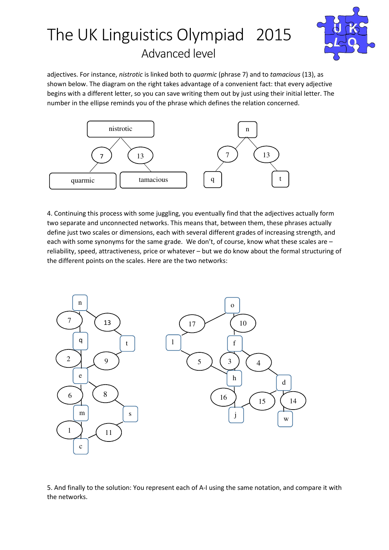

adjectives. For instance, nistrotic is linked both to quarmic (phrase 7) and to tamacious (13), as shown below. The diagram on the right takes advantage of a convenient fact: that every adjective begins with a different letter, so you can save writing them out by just using their initial letter. The number in the ellipse reminds you of the phrase which defines the relation concerned.



4. Continuing this process with some juggling, you eventually find that the adjectives actually form two separate and unconnected networks. This means that, between them, these phrases actually define just two scales or dimensions, each with several different grades of increasing strength, and each with some synonyms for the same grade. We don't, of course, know what these scales are – reliability, speed, attractiveness, price or whatever – but we do know about the formal structuring of the different points on the scales. Here are the two networks:



5. And finally to the solution: You represent each of A-I using the same notation, and compare it with the networks.